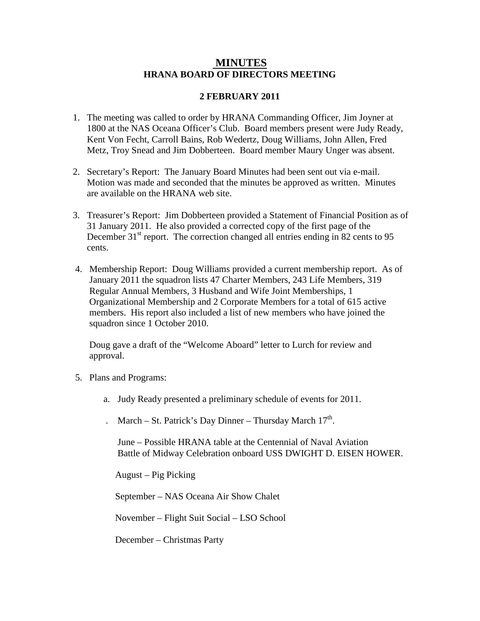## **MINUTES HRANA BOARD OF DIRECTORS MEETING**

## **2 FEBRUARY 2011**

- 1. The meeting was called to order by HRANA Commanding Officer, Jim Joyner at 1800 at the NAS Oceana Officer's Club. Board members present were Judy Ready, Kent Von Fecht, Carroll Bains, Rob Wedertz, Doug Williams, John Allen, Fred Metz, Troy Snead and Jim Dobberteen. Board member Maury Unger was absent.
- 2. Secretary's Report: The January Board Minutes had been sent out via e-mail. Motion was made and seconded that the minutes be approved as written. Minutes are available on the HRANA web site.
- 3. Treasurer's Report: Jim Dobberteen provided a Statement of Financial Position as of 31 January 2011. He also provided a corrected copy of the first page of the December 31<sup>st</sup> report. The correction changed all entries ending in 82 cents to 95 cents.
- 4. Membership Report: Doug Williams provided a current membership report. As of January 2011 the squadron lists 47 Charter Members, 243 Life Members, 319 Regular Annual Members, 3 Husband and Wife Joint Memberships, 1 Organizational Membership and 2 Corporate Members for a total of 615 active members. His report also included a list of new members who have joined the squadron since 1 October 2010.

 Doug gave a draft of the "Welcome Aboard" letter to Lurch for review and approval.

- 5. Plans and Programs:
	- a. Judy Ready presented a preliminary schedule of events for 2011.
	- . March St. Patrick's Day Dinner Thursday March  $17<sup>th</sup>$ .

 June – Possible HRANA table at the Centennial of Naval Aviation Battle of Midway Celebration onboard USS DWIGHT D. EISEN HOWER.

August – Pig Picking

September – NAS Oceana Air Show Chalet

November – Flight Suit Social – LSO School

December – Christmas Party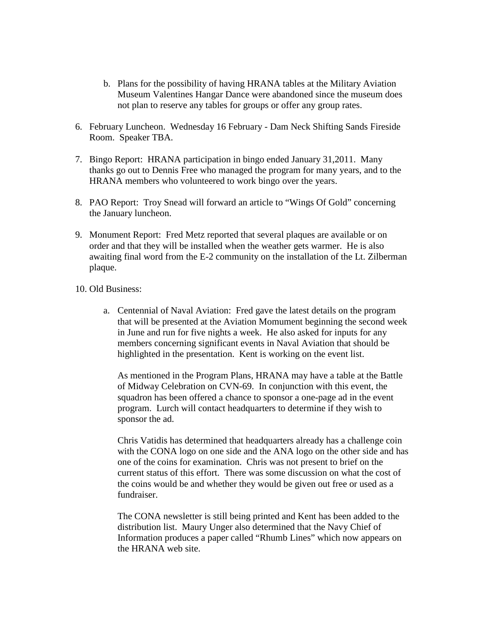- b. Plans for the possibility of having HRANA tables at the Military Aviation Museum Valentines Hangar Dance were abandoned since the museum does not plan to reserve any tables for groups or offer any group rates.
- 6. February Luncheon. Wednesday 16 February Dam Neck Shifting Sands Fireside Room. Speaker TBA.
- 7. Bingo Report: HRANA participation in bingo ended January 31,2011. Many thanks go out to Dennis Free who managed the program for many years, and to the HRANA members who volunteered to work bingo over the years.
- 8. PAO Report: Troy Snead will forward an article to "Wings Of Gold" concerning the January luncheon.
- 9. Monument Report: Fred Metz reported that several plaques are available or on order and that they will be installed when the weather gets warmer. He is also awaiting final word from the E-2 community on the installation of the Lt. Zilberman plaque.
- 10. Old Business:
	- a. Centennial of Naval Aviation: Fred gave the latest details on the program that will be presented at the Aviation Momument beginning the second week in June and run for five nights a week. He also asked for inputs for any members concerning significant events in Naval Aviation that should be highlighted in the presentation. Kent is working on the event list.

As mentioned in the Program Plans, HRANA may have a table at the Battle of Midway Celebration on CVN-69. In conjunction with this event, the squadron has been offered a chance to sponsor a one-page ad in the event program. Lurch will contact headquarters to determine if they wish to sponsor the ad.

Chris Vatidis has determined that headquarters already has a challenge coin with the CONA logo on one side and the ANA logo on the other side and has one of the coins for examination. Chris was not present to brief on the current status of this effort. There was some discussion on what the cost of the coins would be and whether they would be given out free or used as a fundraiser.

The CONA newsletter is still being printed and Kent has been added to the distribution list. Maury Unger also determined that the Navy Chief of Information produces a paper called "Rhumb Lines" which now appears on the HRANA web site.